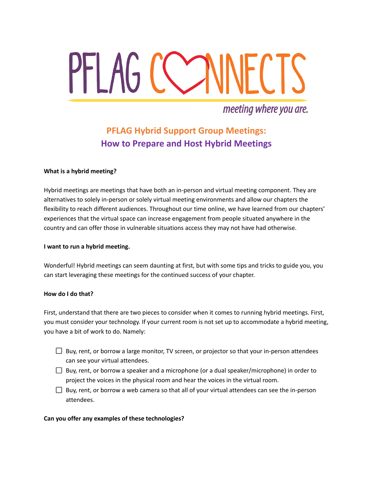# PFLAG COMMECTS

# meeting where you are.

# **PFLAG Hybrid Support Group Meetings: How to Prepare and Host Hybrid Meetings**

### **What is a hybrid meeting?**

Hybrid meetings are meetings that have both an in-person and virtual meeting component. They are alternatives to solely in-person or solely virtual meeting environments and allow our chapters the flexibility to reach different audiences. Throughout our time online, we have learned from our chapters' experiences that the virtual space can increase engagement from people situated anywhere in the country and can offer those in vulnerable situations access they may not have had otherwise.

### **I want to run a hybrid meeting.**

Wonderful! Hybrid meetings can seem daunting at first, but with some tips and tricks to guide you, you can start leveraging these meetings for the continued success of your chapter.

### **How do I do that?**

First, understand that there are two pieces to consider when it comes to running hybrid meetings. First, you must consider your technology. If your current room is not set up to accommodate a hybrid meeting, you have a bit of work to do. Namely:

- $\Box$  Buy, rent, or borrow a large monitor, TV screen, or projector so that your in-person attendees can see your virtual attendees.
- $\Box$  Buy, rent, or borrow a speaker and a microphone (or a dual speaker/microphone) in order to project the voices in the physical room and hear the voices in the virtual room.
- $\Box$  Buy, rent, or borrow a web camera so that all of your virtual attendees can see the in-person attendees.

### **Can you offer any examples of these technologies?**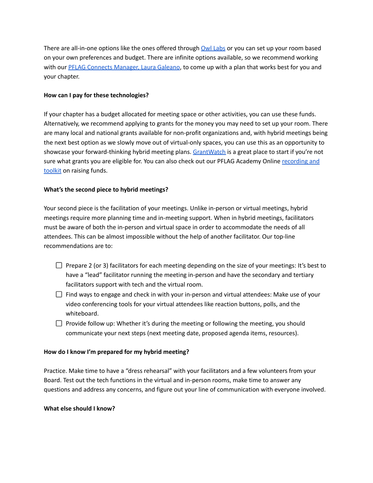There are all-in-one options like the ones offered through Owl [Labs](https://owllabs.com/) or you can set up your room based on your own preferences and budget. There are infinite options available, so we recommend working with our PFLAG Connects [Manager,](mailto:lgaleano@pflag.org) Laura Galeano, to come up with a plan that works best for you and your chapter.

### **How can I pay for these technologies?**

If your chapter has a budget allocated for meeting space or other activities, you can use these funds. Alternatively, we recommend applying to grants for the money you may need to set up your room. There are many local and national grants available for non-profit organizations and, with hybrid meetings being the next best option as we slowly move out of virtual-only spaces, you can use this as an opportunity to showcase your forward-thinking hybrid meeting plans. [GrantWatch](https://www.grantwatch.com/) is a great place to start if you're not sure what grants you are eligible for. You can also check out our PFLAG Academy Online [recording](https://pflag.org/pflag-academy-demand/making-cents-out-raising-money-increase-your-chapters-success-recording) and [toolkit](https://pflag.org/pflag-academy-demand/making-cents-out-raising-money-increase-your-chapters-success-recording) on raising funds.

## **What's the second piece to hybrid meetings?**

Your second piece is the facilitation of your meetings. Unlike in-person or virtual meetings, hybrid meetings require more planning time and in-meeting support. When in hybrid meetings, facilitators must be aware of both the in-person and virtual space in order to accommodate the needs of all attendees. This can be almost impossible without the help of another facilitator. Our top-line recommendations are to:

- $\Box$  Prepare 2 (or 3) facilitators for each meeting depending on the size of your meetings: It's best to have a "lead" facilitator running the meeting in-person and have the secondary and tertiary facilitators support with tech and the virtual room.
- $\Box$  Find ways to engage and check in with your in-person and virtual attendees: Make use of your video conferencing tools for your virtual attendees like reaction buttons, polls, and the whiteboard.
- $\Box$  Provide follow up: Whether it's during the meeting or following the meeting, you should communicate your next steps (next meeting date, proposed agenda items, resources).

### **How do I know I'm prepared for my hybrid meeting?**

Practice. Make time to have a "dress rehearsal" with your facilitators and a few volunteers from your Board. Test out the tech functions in the virtual and in-person rooms, make time to answer any questions and address any concerns, and figure out your line of communication with everyone involved.

### **What else should I know?**